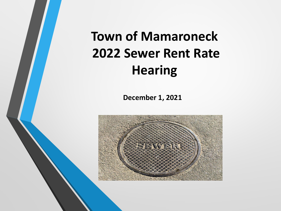**Town of Mamaroneck 2022 Sewer Rent Rate Hearing**

**December 1, 2021**

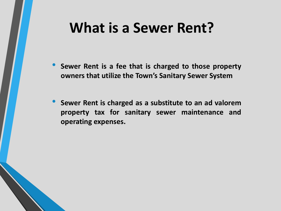### **What is a Sewer Rent?**

- **Sewer Rent is <sup>a</sup> fee that is charged to those property owners that utilize the Town's Sanitary Sewer System**
- **Sewer Rent is charged as <sup>a</sup> substitute to an ad valorem property tax for sanitary sewer maintenance and operating expenses.**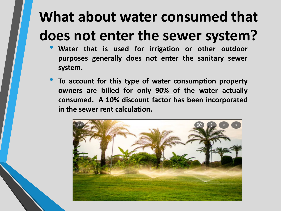# **What about water consumed that does not enter the sewer system?**

- **Water that is used for irrigation or other outdoor purposes generally does not enter the sanitary sewer system.**
- **To account for this type of water consumption property owners are billed for only 90% of the water actually consumed. A 10% discount factor has been incorporated in the sewer rent calculation.**

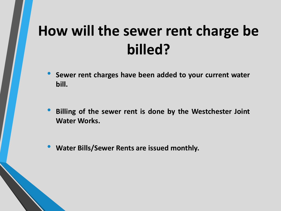# **How will the sewer rent charge be billed?**

- **Sewer rent charges have been added to your current water bill.**
- **Billing of the sewer rent is done by the Westchester Joint Water Works.**
- **Water Bills/Sewer Rents are issued monthly.**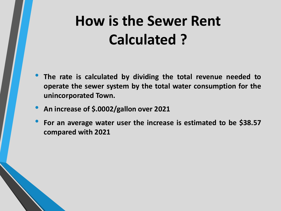# **How is the Sewer Rent Calculated ?**

- **The rate is calculated by dividing the total revenue needed to operate the sewer system by the total water consumption for the unincorporated Town.**
- **An increase of \$.0002/gallon over <sup>2021</sup>**
- **For an average water user the increase is estimated to be \$38.57 compared with 2021**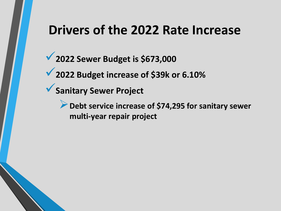#### **Drivers of the 2022 Rate Increase**

**2022 Sewer Budget is \$673,000**

**2022 Budget increase of \$39k or 6.10%**

**Sanitary Sewer Project** 

**▶ Debt service increase of \$74,295 for sanitary sewer multi-year repair project**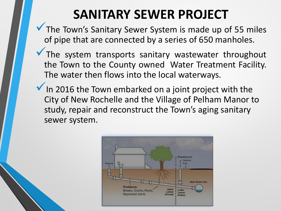#### **SANITARY SEWER PROJECT**

- $\blacktriangledown$  The Town's Sanitary Sewer System is made up of 55 miles of pipe that are connected by a series of 650 manholes.
	- The system transports sanitary wastewater throughout the Town to the County owned Water Treatment Facility. The water then flows into the local waterways.
- $\checkmark$  In 2016 the Town embarked on a joint project with the City of New Rochelle and the Village of Pelham Manor to study, repair and reconstruct the Town's aging sanitary sewer system.